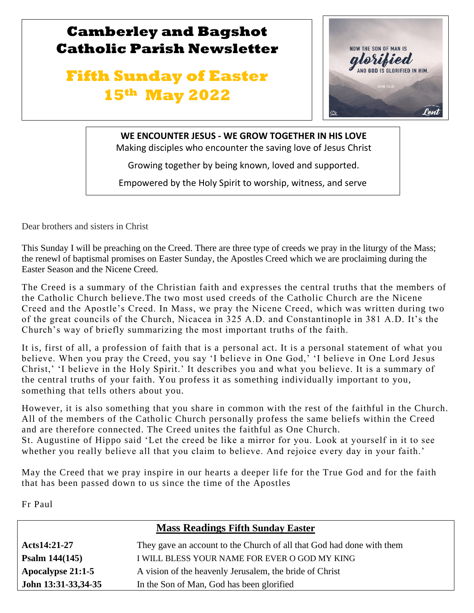# **Camberley and Bagshot Catholic Parish Newsletter**

# **Fifth Sunday of Easter 15th May 2022**



**WE ENCOUNTER JESUS - WE GROW TOGETHER IN HIS LOVE**

Making disciples who encounter the saving love of Jesus Christ

Growing together by being known, loved and supported.

Empowered by the Holy Spirit to worship, witness, and serve

Dear brothers and sisters in Christ

l

 $\mathbb{R}$ 

This Sunday I will be preaching on the Creed. There are three type of creeds we pray in the liturgy of the Mass; the renewl of baptismal promises on Easter Sunday, the Apostles Creed which we are proclaiming during the Easter Season and the Nicene Creed.

The Creed is a summary of the Christian faith and expresses the central truths that the members of the Catholic Church believe.The two most used creeds of the Catholic Church are the Nicene Creed and the Apostle's Creed. In Mass, we pray the Nicene Creed, which was written during two of the great councils of the Church, Nicacea in 325 A.D. and Constantinople in 381 A.D. It's the Church's way of briefly summarizing the most important truths of the faith.

It is, first of all, a profession of faith that is a personal act. It is a personal statement of what you believe. When you pray the Creed, you say 'I believe in One God,' 'I believe in One Lord Jesus Christ,' 'I believe in the Holy Spirit.' It describes you and what you believe. It is a summary of the central truths of your faith. You profess it as something individually important to you, something that tells others about you.

However, it is also something that you share in common with the rest of the faithful in the Church. All of the members of the Catholic Church personally profess the same beliefs within the Creed and are therefore connected. The Creed unites the faithful as One Church. St. Augustine of Hippo said 'Let the creed be like a mirror for you. Look at yourself in it to see whether you really believe all that you claim to believe. And rejoice every day in your faith.'

May the Creed that we pray inspire in our hearts a deeper life for the True God and for the faith that has been passed down to us since the time of the Apostles

Fr Paul

| <b>Mass Readings Fifth Sunday Easter</b> |                                                                       |  |  |  |
|------------------------------------------|-----------------------------------------------------------------------|--|--|--|
| Acts14:21-27                             | They gave an account to the Church of all that God had done with them |  |  |  |
| Psalm $144(145)$                         | I WILL BLESS YOUR NAME FOR EVER O GOD MY KING                         |  |  |  |
| Apocalypse 21:1-5                        | A vision of the heavenly Jerusalem, the bride of Christ               |  |  |  |
| John 13:31-33,34-35                      | In the Son of Man, God has been glorified                             |  |  |  |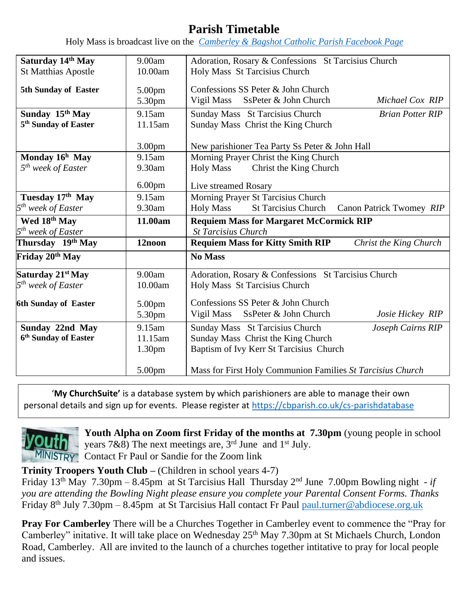# **Parish Timetable**

Holy Mass is broadcast live on the *[Camberley & Bagshot Catholic Parish Facebook Page](https://www.facebook.com/Camberley-Bagshot-Catholic-Parish-102099478101801/)*

| Saturday 14th May                                               | 9.00am             | Adoration, Rosary & Confessions St Tarcisius Church                                  |                          |  |
|-----------------------------------------------------------------|--------------------|--------------------------------------------------------------------------------------|--------------------------|--|
| <b>St Matthias Apostle</b>                                      | 10.00am            | Holy Mass St Tarcisius Church                                                        |                          |  |
| 5th Sunday of Easter                                            | 5.00pm<br>5.30pm   | Confessions SS Peter & John Church<br>Vigil Mass<br>SsPeter & John Church            | Michael Cox RIP          |  |
|                                                                 |                    |                                                                                      |                          |  |
| Sunday 15th May                                                 | 9.15am             | Sunday Mass St Tarcisius Church                                                      | <b>Brian Potter RIP</b>  |  |
| 5 <sup>th</sup> Sunday of Easter                                | 11.15am            | Sunday Mass Christ the King Church                                                   |                          |  |
|                                                                 | 3.00 <sub>pm</sub> | New parishioner Tea Party Ss Peter & John Hall                                       |                          |  |
| Monday $16h$ May                                                | 9.15am             | Morning Prayer Christ the King Church                                                |                          |  |
| 5 <sup>th</sup> week of Easter                                  | 9.30am             | <b>Holy Mass</b><br>Christ the King Church                                           |                          |  |
|                                                                 | 6.00 <sub>pm</sub> | Live streamed Rosary                                                                 |                          |  |
| Tuesday 17th May                                                | 9.15am             | Morning Prayer St Tarcisius Church                                                   |                          |  |
| 5 <sup>th</sup> week of Easter                                  | 9.30am             | <b>Holy Mass</b><br><b>St Tarcisius Church</b>                                       | Canon Patrick Twomey RIP |  |
| Wed 18th May                                                    | 11.00am            | <b>Requiem Mass for Margaret McCormick RIP</b>                                       |                          |  |
| 5 <sup>th</sup> week of Easter                                  |                    | <b>St Tarcisius Church</b>                                                           |                          |  |
|                                                                 |                    |                                                                                      | Christ the King Church   |  |
| Thursday 19th May                                               | 12noon             | <b>Requiem Mass for Kitty Smith RIP</b>                                              |                          |  |
|                                                                 |                    | No Mass                                                                              |                          |  |
|                                                                 | 9.00am             |                                                                                      |                          |  |
| 5 <sup>th</sup> week of Easter                                  | 10.00am            | Adoration, Rosary & Confessions St Tarcisius Church<br>Holy Mass St Tarcisius Church |                          |  |
| Friday 20 <sup>th</sup> May<br>Saturday 21 <sup>st</sup> May    |                    |                                                                                      |                          |  |
|                                                                 | 5.00pm             | Confessions SS Peter & John Church                                                   |                          |  |
|                                                                 | 5.30pm             | Vigil Mass<br>SsPeter & John Church                                                  | Josie Hickey RIP         |  |
| Sunday 22nd May                                                 | 9.15am             | Sunday Mass St Tarcisius Church                                                      | Joseph Cairns RIP        |  |
| <b>6th Sunday of Easter</b><br>6 <sup>th</sup> Sunday of Easter | 11.15am            | Sunday Mass Christ the King Church                                                   |                          |  |
|                                                                 | 1.30 <sub>pm</sub> | Baptism of Ivy Kerr St Tarcisius Church                                              |                          |  |
|                                                                 | 5.00pm             | Mass for First Holy Communion Families St Tarcisius Church                           |                          |  |

'**My ChurchSuite'** is a database system by which parishioners are able to manage their own personal details and sign up for events. Please register at<https://cbparish.co.uk/cs-parishdatabase>



**Youth Alpha on Zoom first Friday of the months at 7.30pm** (young people in school years 7&8) The next meetings are,  $3<sup>rd</sup>$  June and  $1<sup>st</sup>$  July. MINISTRY Contact Fr Paul or Sandie for the Zoom link

**Trinity Troopers Youth Club –** (Children in school years 4-7)

Friday 13th May 7.30pm – 8.45pm at St Tarcisius Hall Thursday 2nd June 7.00pm Bowling night - *if you are attending the Bowling Night please ensure you complete your Parental Consent Forms. Thanks* Friday 8<sup>th</sup> July 7.30pm – 8.45pm at St Tarcisius Hall contact Fr Paul paul.turner@abdiocese.org.uk

**Pray For Camberley** There will be a Churches Together in Camberley event to commence the "Pray for Camberley" initative. It will take place on Wednesday 25<sup>th</sup> May 7.30pm at St Michaels Church, London Road, Camberley. All are invited to the launch of a churches together intitative to pray for local people and issues.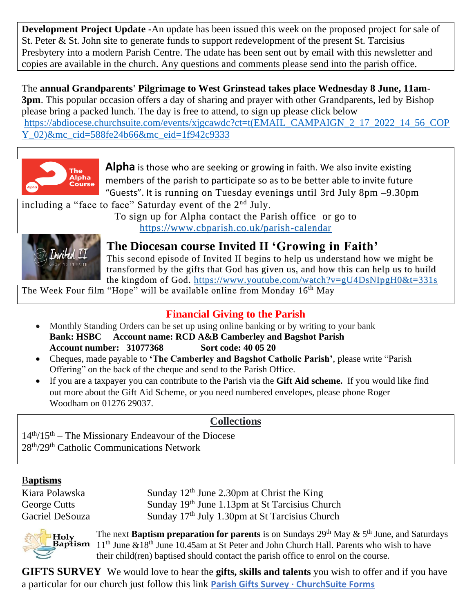**Development Project Update -**An update has been issued this week on the proposed project for sale of St. Peter & St. John site to generate funds to support redevelopment of the present St. Tarcisius Presbytery into a modern Parish Centre. The udate has been sent out by email with this newsletter and copies are available in the church. Any questions and comments please send into the parish office.

The **annual Grandparents' Pilgrimage to West Grinstead takes place Wednesday 8 June, 11am-3pm**. This popular occasion offers a day of sharing and prayer with other Grandparents, led by Bishop please bring a packed lunch. The day is free to attend, to sign up please click below [https://abdiocese.churchsuite.com/events/xjgcawdc?ct=t\(EMAIL\\_CAMPAIGN\\_2\\_17\\_2022\\_14\\_56\\_COP](https://abdiocese.churchsuite.com/events/xjgcawdc?ct=t(EMAIL_CAMPAIGN_2_17_2022_14_56_COPY_02)&mc_cid=588fe24b66&mc_eid=1f942c9333) [Y\\_02\)&mc\\_cid=588fe24b66&mc\\_eid=1f942c9333](https://abdiocese.churchsuite.com/events/xjgcawdc?ct=t(EMAIL_CAMPAIGN_2_17_2022_14_56_COPY_02)&mc_cid=588fe24b66&mc_eid=1f942c9333)



**Alpha** is those who are seeking or growing in faith. We also invite existing members of the parish to participate so as to be better able to invite future "Guests". It is running on Tuesday evenings until 3rd July 8pm –9.30pm

including a "face to face" Saturday event of the 2<sup>nd</sup> July.

To sign up for Alpha contact the Parish office or go to <https://www.cbparish.co.uk/parish-calendar>



**The Diocesan course Invited II 'Growing in Faith'** 

This second episode of Invited II begins to help us understand how we might be transformed by the gifts that God has given us, and how this can help us to build the kingdom of God. <https://www.youtube.com/watch?v=gU4DsNIpgH0&t=331s>

The Week Four film "Hope" will be available online from Monday 16<sup>th</sup> May

## **Financial Giving to the Parish**

- Monthly Standing Orders can be set up using online banking or by writing to your bank **Bank: HSBC Account name: RCD A&B Camberley and Bagshot Parish Account number: 31077368 Sort code: 40 05 20**
- Cheques, made payable to **'The Camberley and Bagshot Catholic Parish'**, please write "Parish Offering" on the back of the cheque and send to the Parish Office.
- If you are a taxpayer you can contribute to the Parish via the **Gift Aid scheme.** If you would like find out more about the Gift Aid Scheme, or you need numbered envelopes, please phone Roger Woodham on 01276 29037.

## **Collections**

 $14<sup>th</sup>/15<sup>th</sup>$  – The Missionary Endeavour of the Diocese 28th/29th Catholic Communications Network

#### B**aptisms**

Kiara Polawska Sunday 12<sup>th</sup> June 2.30pm at Christ the King George Cutts Sunday 19th June 1.13pm at St Tarcisius Church Gacriel DeSouza Sunday 17<sup>th</sup> July 1.30pm at St Tarcisius Church



The next **Baptism preparation for parents** is on Sundays  $29<sup>th</sup>$  May  $\& 5<sup>th</sup>$  June, and Saturdays 11th June &18th June 10.45am at St Peter and John Church Hall. Parents who wish to have their child(ren) baptised should contact the parish office to enrol on the course.

**GIFTS SURVEY** We would love to hear the **gifts, skills and talents** you wish to offer and if you have a particular for our church just follow this link **[Parish Gifts Survey · ChurchSuite Forms](https://camberleybagshotcatholicparish.churchsuite.com/forms/dhozqq3w)**